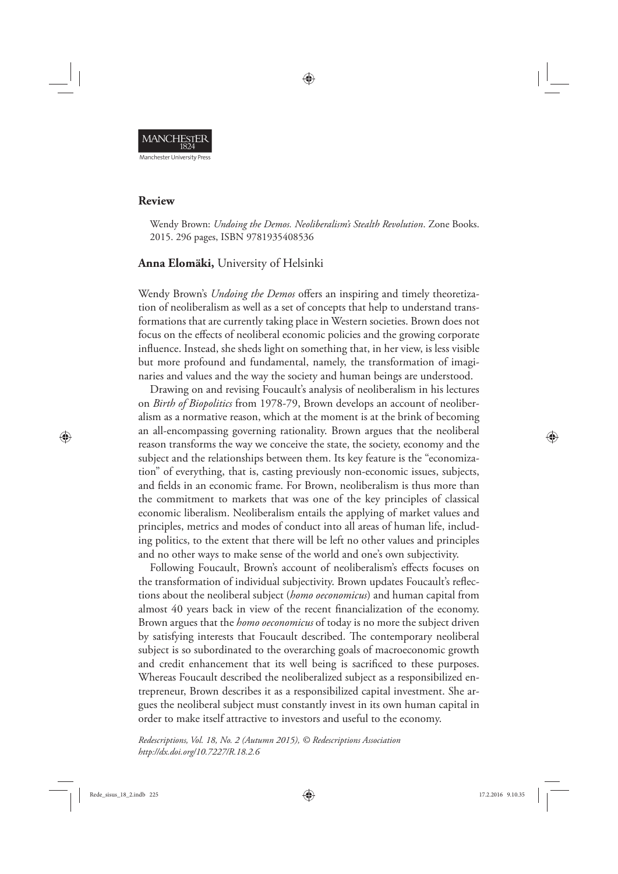

Wendy Brown: *Undoing the Demos. Neoliberalism's Stealth Revolution*. Zone Books. 2015. 296 pages, ISBN 9781935408536

◈

## **Anna Elomäki,** University of Helsinki

Wendy Brown's *Undoing the Demos* offers an inspiring and timely theoretization of neoliberalism as well as a set of concepts that help to understand transformations that are currently taking place in Western societies. Brown does not focus on the effects of neoliberal economic policies and the growing corporate influence. Instead, she sheds light on something that, in her view, is less visible but more profound and fundamental, namely, the transformation of imaginaries and values and the way the society and human beings are understood.

Drawing on and revising Foucault's analysis of neoliberalism in his lectures on *Birth of Biopolitics* from 1978-79, Brown develops an account of neoliberalism as a normative reason, which at the moment is at the brink of becoming an all-encompassing governing rationality. Brown argues that the neoliberal reason transforms the way we conceive the state, the society, economy and the subject and the relationships between them. Its key feature is the "economization" of everything, that is, casting previously non-economic issues, subjects, and fields in an economic frame. For Brown, neoliberalism is thus more than the commitment to markets that was one of the key principles of classical economic liberalism. Neoliberalism entails the applying of market values and principles, metrics and modes of conduct into all areas of human life, including politics, to the extent that there will be left no other values and principles and no other ways to make sense of the world and one's own subjectivity.

Following Foucault, Brown's account of neoliberalism's effects focuses on the transformation of individual subjectivity. Brown updates Foucault's reflections about the neoliberal subject (*homo oeconomicus*) and human capital from almost 40 years back in view of the recent financialization of the economy. Brown argues that the *homo oeconomicus* of today is no more the subject driven by satisfying interests that Foucault described. The contemporary neoliberal subject is so subordinated to the overarching goals of macroeconomic growth and credit enhancement that its well being is sacrificed to these purposes. Whereas Foucault described the neoliberalized subject as a responsibilized entrepreneur, Brown describes it as a responsibilized capital investment. She argues the neoliberal subject must constantly invest in its own human capital in order to make itself attractive to investors and useful to the economy.

*Redescriptions, Vol. 18, No. 2 (Autumn 2015), © Redescriptions Association http://dx.doi.org/10.7227/R.18.2.6*

⊕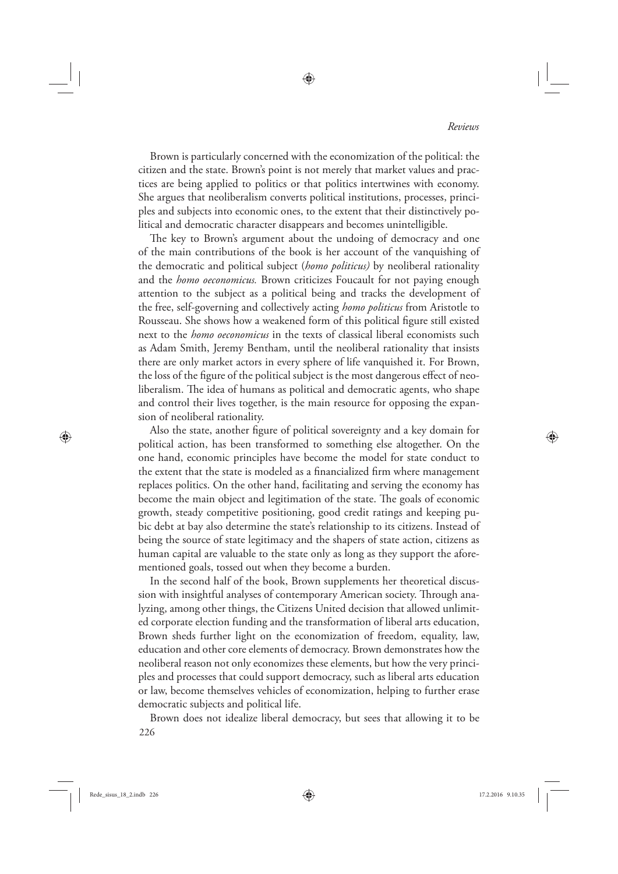Brown is particularly concerned with the economization of the political: the citizen and the state. Brown's point is not merely that market values and practices are being applied to politics or that politics intertwines with economy. She argues that neoliberalism converts political institutions, processes, principles and subjects into economic ones, to the extent that their distinctively political and democratic character disappears and becomes unintelligible.

◈

The key to Brown's argument about the undoing of democracy and one of the main contributions of the book is her account of the vanquishing of the democratic and political subject (*homo politicus)* by neoliberal rationality and the *homo oeconomicus.* Brown criticizes Foucault for not paying enough attention to the subject as a political being and tracks the development of the free, self-governing and collectively acting *homo politicus* from Aristotle to Rousseau. She shows how a weakened form of this political figure still existed next to the *homo oeconomicus* in the texts of classical liberal economists such as Adam Smith, Jeremy Bentham, until the neoliberal rationality that insists there are only market actors in every sphere of life vanquished it. For Brown, the loss of the figure of the political subject is the most dangerous effect of neoliberalism. The idea of humans as political and democratic agents, who shape and control their lives together, is the main resource for opposing the expansion of neoliberal rationality.

Also the state, another figure of political sovereignty and a key domain for political action, has been transformed to something else altogether. On the one hand, economic principles have become the model for state conduct to the extent that the state is modeled as a financialized firm where management replaces politics. On the other hand, facilitating and serving the economy has become the main object and legitimation of the state. The goals of economic growth, steady competitive positioning, good credit ratings and keeping pubic debt at bay also determine the state's relationship to its citizens. Instead of being the source of state legitimacy and the shapers of state action, citizens as human capital are valuable to the state only as long as they support the aforementioned goals, tossed out when they become a burden.

In the second half of the book, Brown supplements her theoretical discussion with insightful analyses of contemporary American society. Through analyzing, among other things, the Citizens United decision that allowed unlimited corporate election funding and the transformation of liberal arts education, Brown sheds further light on the economization of freedom, equality, law, education and other core elements of democracy. Brown demonstrates how the neoliberal reason not only economizes these elements, but how the very principles and processes that could support democracy, such as liberal arts education or law, become themselves vehicles of economization, helping to further erase democratic subjects and political life.

226 Brown does not idealize liberal democracy, but sees that allowing it to be

⊕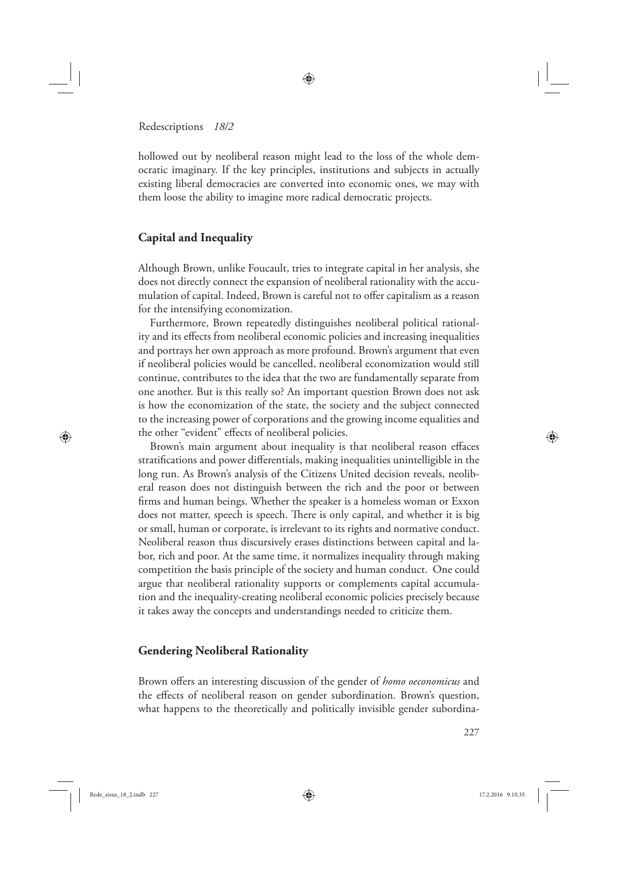hollowed out by neoliberal reason might lead to the loss of the whole democratic imaginary. If the key principles, institutions and subjects in actually existing liberal democracies are converted into economic ones, we may with them loose the ability to imagine more radical democratic projects.

♠

# **Capital and Inequality**

Although Brown, unlike Foucault, tries to integrate capital in her analysis, she does not directly connect the expansion of neoliberal rationality with the accumulation of capital. Indeed, Brown is careful not to offer capitalism as a reason for the intensifying economization.

Furthermore, Brown repeatedly distinguishes neoliberal political rationality and its effects from neoliberal economic policies and increasing inequalities and portrays her own approach as more profound. Brown's argument that even if neoliberal policies would be cancelled, neoliberal economization would still continue, contributes to the idea that the two are fundamentally separate from one another. But is this really so? An important question Brown does not ask is how the economization of the state, the society and the subject connected to the increasing power of corporations and the growing income equalities and the other "evident" effects of neoliberal policies.

Brown's main argument about inequality is that neoliberal reason effaces stratifications and power differentials, making inequalities unintelligible in the long run. As Brown's analysis of the Citizens United decision reveals, neoliberal reason does not distinguish between the rich and the poor or between firms and human beings. Whether the speaker is a homeless woman or Exxon does not matter, speech is speech. There is only capital, and whether it is big or small, human or corporate, is irrelevant to its rights and normative conduct. Neoliberal reason thus discursively erases distinctions between capital and labor, rich and poor. At the same time, it normalizes inequality through making competition the basis principle of the society and human conduct. One could argue that neoliberal rationality supports or complements capital accumulation and the inequality-creating neoliberal economic policies precisely because it takes away the concepts and understandings needed to criticize them.

## **Gendering Neoliberal Rationality**

Brown offers an interesting discussion of the gender of *homo oeconomicus* and the effects of neoliberal reason on gender subordination. Brown's question, what happens to the theoretically and politically invisible gender subordina-

227

⊕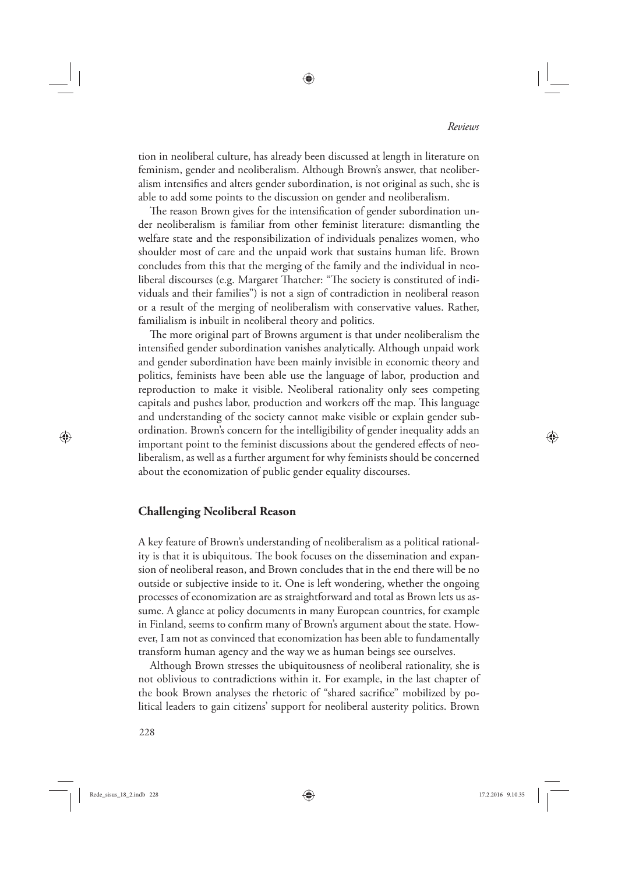tion in neoliberal culture, has already been discussed at length in literature on feminism, gender and neoliberalism. Although Brown's answer, that neoliberalism intensifies and alters gender subordination, is not original as such, she is able to add some points to the discussion on gender and neoliberalism.

♠

The reason Brown gives for the intensification of gender subordination under neoliberalism is familiar from other feminist literature: dismantling the welfare state and the responsibilization of individuals penalizes women, who shoulder most of care and the unpaid work that sustains human life. Brown concludes from this that the merging of the family and the individual in neoliberal discourses (e.g. Margaret Thatcher: "The society is constituted of individuals and their families") is not a sign of contradiction in neoliberal reason or a result of the merging of neoliberalism with conservative values. Rather, familialism is inbuilt in neoliberal theory and politics.

The more original part of Browns argument is that under neoliberalism the intensified gender subordination vanishes analytically. Although unpaid work and gender subordination have been mainly invisible in economic theory and politics, feminists have been able use the language of labor, production and reproduction to make it visible. Neoliberal rationality only sees competing capitals and pushes labor, production and workers off the map. This language and understanding of the society cannot make visible or explain gender subordination. Brown's concern for the intelligibility of gender inequality adds an important point to the feminist discussions about the gendered effects of neoliberalism, as well as a further argument for why feminists should be concerned about the economization of public gender equality discourses.

# **Challenging Neoliberal Reason**

A key feature of Brown's understanding of neoliberalism as a political rationality is that it is ubiquitous. The book focuses on the dissemination and expansion of neoliberal reason, and Brown concludes that in the end there will be no outside or subjective inside to it. One is left wondering, whether the ongoing processes of economization are as straightforward and total as Brown lets us assume. A glance at policy documents in many European countries, for example in Finland, seems to confirm many of Brown's argument about the state. However, I am not as convinced that economization has been able to fundamentally transform human agency and the way we as human beings see ourselves.

Although Brown stresses the ubiquitousness of neoliberal rationality, she is not oblivious to contradictions within it. For example, in the last chapter of the book Brown analyses the rhetoric of "shared sacrifice" mobilized by political leaders to gain citizens' support for neoliberal austerity politics. Brown

228

Rede\_sisus\_18\_2.indb 228 17.2.2016 9.10.35

⊕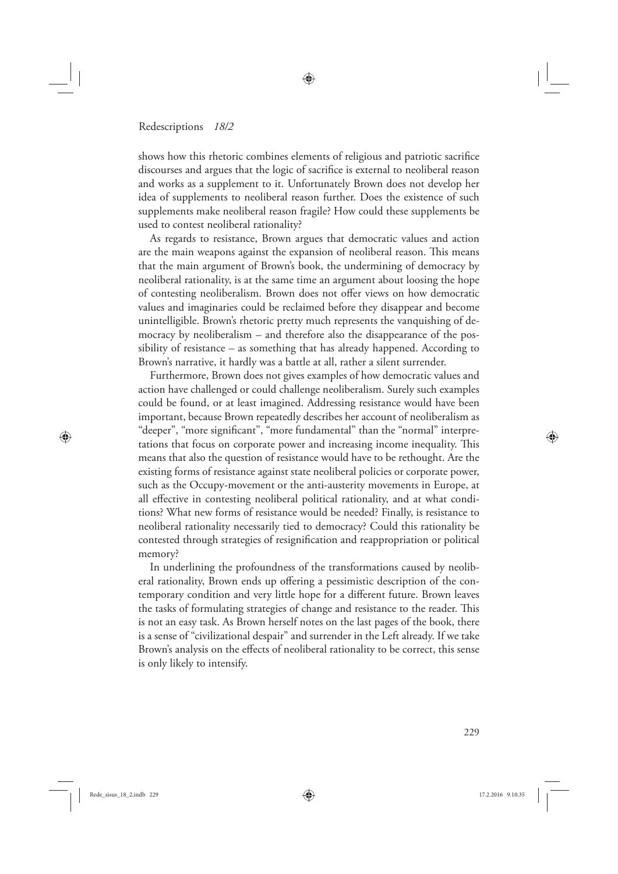shows how this rhetoric combines elements of religious and patriotic sacrifice discourses and argues that the logic of sacrifice is external to neoliberal reason and works as a supplement to it. Unfortunately Brown does not develop her idea of supplements to neoliberal reason further. Does the existence of such supplements make neoliberal reason fragile? How could these supplements be used to contest neoliberal rationality?

◈

As regards to resistance, Brown argues that democratic values and action are the main weapons against the expansion of neoliberal reason. This means that the main argument of Brown's book, the undermining of democracy by neoliberal rationality, is at the same time an argument about loosing the hope of contesting neoliberalism. Brown does not offer views on how democratic values and imaginaries could be reclaimed before they disappear and become unintelligible. Brown's rhetoric pretty much represents the vanquishing of democracy by neoliberalism – and therefore also the disappearance of the possibility of resistance – as something that has already happened. According to Brown's narrative, it hardly was a battle at all, rather a silent surrender.

Furthermore, Brown does not gives examples of how democratic values and action have challenged or could challenge neoliberalism. Surely such examples could be found, or at least imagined. Addressing resistance would have been important, because Brown repeatedly describes her account of neoliberalism as "deeper", "more significant", "more fundamental" than the "normal" interpretations that focus on corporate power and increasing income inequality. This means that also the question of resistance would have to be rethought. Are the existing forms of resistance against state neoliberal policies or corporate power, such as the Occupy-movement or the anti-austerity movements in Europe, at all effective in contesting neoliberal political rationality, and at what conditions? What new forms of resistance would be needed? Finally, is resistance to neoliberal rationality necessarily tied to democracy? Could this rationality be contested through strategies of resignification and reappropriation or political memory?

In underlining the profoundness of the transformations caused by neoliberal rationality, Brown ends up offering a pessimistic description of the contemporary condition and very little hope for a different future. Brown leaves the tasks of formulating strategies of change and resistance to the reader. This is not an easy task. As Brown herself notes on the last pages of the book, there is a sense of "civilizational despair" and surrender in the Left already. If we take Brown's analysis on the effects of neoliberal rationality to be correct, this sense is only likely to intensify.

◈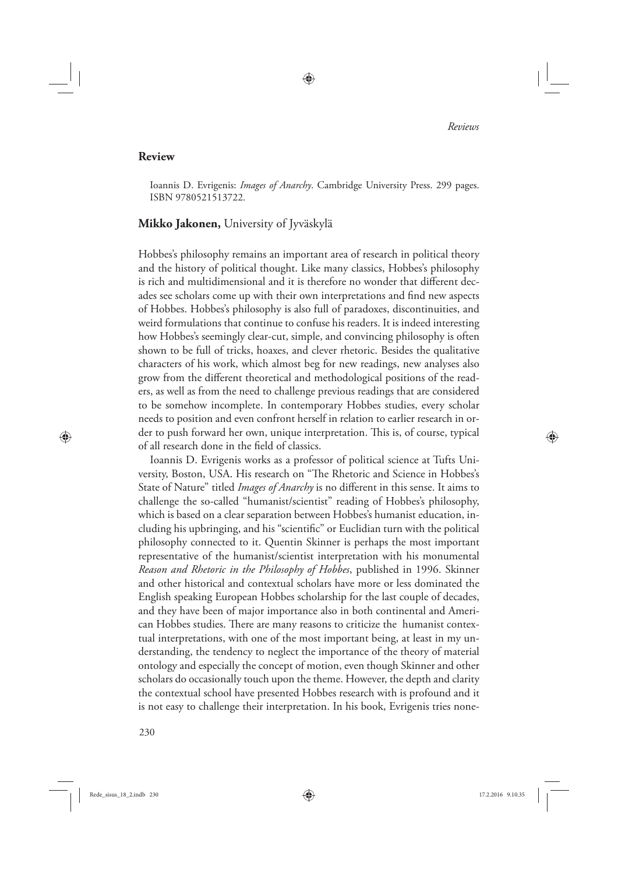# **Review**

Ioannis D. Evrigenis: *Images of Anarchy*. Cambridge University Press. 299 pages. ISBN 9780521513722.

♠

# **Mikko Jakonen,** University of Jyväskylä

Hobbes's philosophy remains an important area of research in political theory and the history of political thought. Like many classics, Hobbes's philosophy is rich and multidimensional and it is therefore no wonder that different decades see scholars come up with their own interpretations and find new aspects of Hobbes. Hobbes's philosophy is also full of paradoxes, discontinuities, and weird formulations that continue to confuse his readers. It is indeed interesting how Hobbes's seemingly clear-cut, simple, and convincing philosophy is often shown to be full of tricks, hoaxes, and clever rhetoric. Besides the qualitative characters of his work, which almost beg for new readings, new analyses also grow from the different theoretical and methodological positions of the readers, as well as from the need to challenge previous readings that are considered to be somehow incomplete. In contemporary Hobbes studies, every scholar needs to position and even confront herself in relation to earlier research in order to push forward her own, unique interpretation. This is, of course, typical of all research done in the field of classics.

Ioannis D. Evrigenis works as a professor of political science at Tufts University, Boston, USA. His research on "The Rhetoric and Science in Hobbes's State of Nature" titled *Images of Anarchy* is no different in this sense. It aims to challenge the so-called "humanist/scientist" reading of Hobbes's philosophy, which is based on a clear separation between Hobbes's humanist education, including his upbringing, and his "scientific" or Euclidian turn with the political philosophy connected to it. Quentin Skinner is perhaps the most important representative of the humanist/scientist interpretation with his monumental *Reason and Rhetoric in the Philosophy of Hobbes*, published in 1996. Skinner and other historical and contextual scholars have more or less dominated the English speaking European Hobbes scholarship for the last couple of decades, and they have been of major importance also in both continental and American Hobbes studies. There are many reasons to criticize the humanist contextual interpretations, with one of the most important being, at least in my understanding, the tendency to neglect the importance of the theory of material ontology and especially the concept of motion, even though Skinner and other scholars do occasionally touch upon the theme. However, the depth and clarity the contextual school have presented Hobbes research with is profound and it is not easy to challenge their interpretation. In his book, Evrigenis tries none-

230

⊕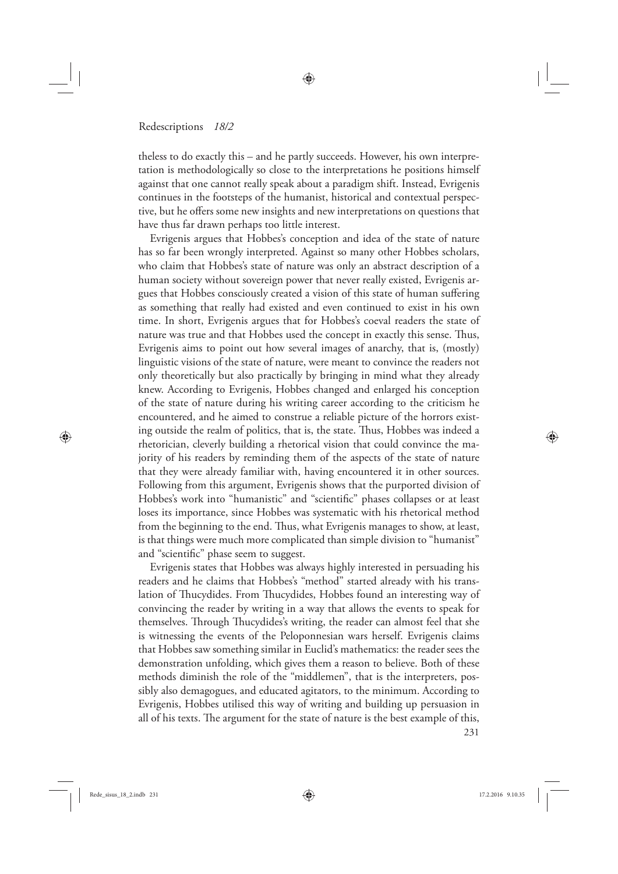theless to do exactly this – and he partly succeeds. However, his own interpretation is methodologically so close to the interpretations he positions himself against that one cannot really speak about a paradigm shift. Instead, Evrigenis continues in the footsteps of the humanist, historical and contextual perspective, but he offers some new insights and new interpretations on questions that have thus far drawn perhaps too little interest.

◈

Evrigenis argues that Hobbes's conception and idea of the state of nature has so far been wrongly interpreted. Against so many other Hobbes scholars, who claim that Hobbes's state of nature was only an abstract description of a human society without sovereign power that never really existed, Evrigenis argues that Hobbes consciously created a vision of this state of human suffering as something that really had existed and even continued to exist in his own time. In short, Evrigenis argues that for Hobbes's coeval readers the state of nature was true and that Hobbes used the concept in exactly this sense. Thus, Evrigenis aims to point out how several images of anarchy, that is, (mostly) linguistic visions of the state of nature, were meant to convince the readers not only theoretically but also practically by bringing in mind what they already knew. According to Evrigenis, Hobbes changed and enlarged his conception of the state of nature during his writing career according to the criticism he encountered, and he aimed to construe a reliable picture of the horrors existing outside the realm of politics, that is, the state. Thus, Hobbes was indeed a rhetorician, cleverly building a rhetorical vision that could convince the majority of his readers by reminding them of the aspects of the state of nature that they were already familiar with, having encountered it in other sources. Following from this argument, Evrigenis shows that the purported division of Hobbes's work into "humanistic" and "scientific" phases collapses or at least loses its importance, since Hobbes was systematic with his rhetorical method from the beginning to the end. Thus, what Evrigenis manages to show, at least, is that things were much more complicated than simple division to "humanist" and "scientific" phase seem to suggest.

Evrigenis states that Hobbes was always highly interested in persuading his readers and he claims that Hobbes's "method" started already with his translation of Thucydides. From Thucydides, Hobbes found an interesting way of convincing the reader by writing in a way that allows the events to speak for themselves. Through Thucydides's writing, the reader can almost feel that she is witnessing the events of the Peloponnesian wars herself. Evrigenis claims that Hobbes saw something similar in Euclid's mathematics: the reader sees the demonstration unfolding, which gives them a reason to believe. Both of these methods diminish the role of the "middlemen", that is the interpreters, possibly also demagogues, and educated agitators, to the minimum. According to Evrigenis, Hobbes utilised this way of writing and building up persuasion in all of his texts. The argument for the state of nature is the best example of this,

⊕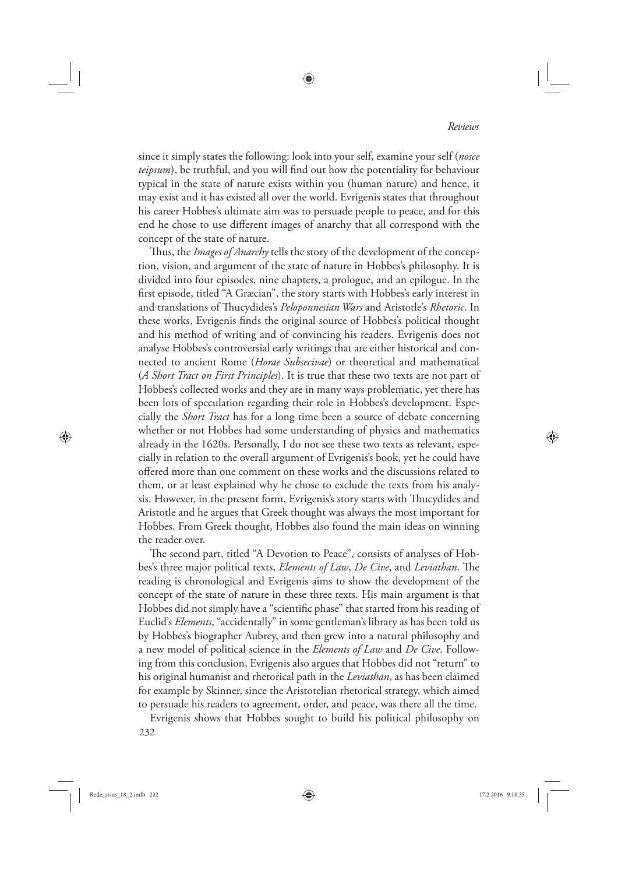since it simply states the following: look into your self, examine your self (*nosce teipsum*), be truthful, and you will find out how the potentiality for behaviour typical in the state of nature exists within you (human nature) and hence, it may exist and it has existed all over the world. Evrigenis states that throughout his career Hobbes's ultimate aim was to persuade people to peace, and for this end he chose to use different images of anarchy that all correspond with the concept of the state of nature.

◈

Thus, the *Images of Anarchy* tells the story of the development of the conception, vision, and argument of the state of nature in Hobbes's philosophy. It is divided into four episodes, nine chapters, a prologue, and an epilogue. In the first episode, titled "A Græcian", the story starts with Hobbes's early interest in and translations of Thucydides's *Peloponnesian Wars* and Aristotle's *Rhetoric*. In these works, Evrigenis finds the original source of Hobbes's political thought and his method of writing and of convincing his readers. Evrigenis does not analyse Hobbes's controversial early writings that are either historical and connected to ancient Rome (*Horae Subsecivae*) or theoretical and mathematical (*A Short Tract on First Principles*). It is true that these two texts are not part of Hobbes's collected works and they are in many ways problematic, yet there has been lots of speculation regarding their role in Hobbes's development. Especially the *Short Tract* has for a long time been a source of debate concerning whether or not Hobbes had some understanding of physics and mathematics already in the 1620s. Personally, I do not see these two texts as relevant, especially in relation to the overall argument of Evrigenis's book, yet he could have offered more than one comment on these works and the discussions related to them, or at least explained why he chose to exclude the texts from his analysis. However, in the present form, Evrigenis's story starts with Thucydides and Aristotle and he argues that Greek thought was always the most important for Hobbes. From Greek thought, Hobbes also found the main ideas on winning the reader over.

The second part, titled "A Devotion to Peace", consists of analyses of Hobbes's three major political texts, *Elements of Law*, *De Cive*, and *Leviathan*. The reading is chronological and Evrigenis aims to show the development of the concept of the state of nature in these three texts. His main argument is that Hobbes did not simply have a "scientific phase" that started from his reading of Euclid's *Elements*, "accidentally" in some gentleman's library as has been told us by Hobbes's biographer Aubrey, and then grew into a natural philosophy and a new model of political science in the *Elements of Law* and *De Cive*. Following from this conclusion, Evrigenis also argues that Hobbes did not "return" to his original humanist and rhetorical path in the *Leviathan*, as has been claimed for example by Skinner, since the Aristotelian rhetorical strategy, which aimed to persuade his readers to agreement, order, and peace, was there all the time.

232 Evrigenis shows that Hobbes sought to build his political philosophy on

⊕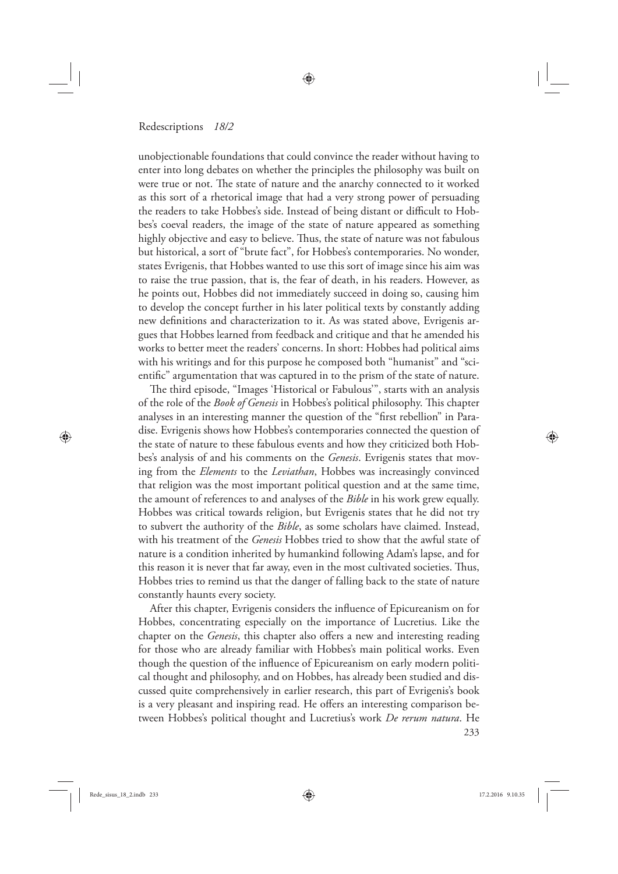unobjectionable foundations that could convince the reader without having to enter into long debates on whether the principles the philosophy was built on were true or not. The state of nature and the anarchy connected to it worked as this sort of a rhetorical image that had a very strong power of persuading the readers to take Hobbes's side. Instead of being distant or difficult to Hobbes's coeval readers, the image of the state of nature appeared as something highly objective and easy to believe. Thus, the state of nature was not fabulous but historical, a sort of "brute fact", for Hobbes's contemporaries. No wonder, states Evrigenis, that Hobbes wanted to use this sort of image since his aim was to raise the true passion, that is, the fear of death, in his readers. However, as he points out, Hobbes did not immediately succeed in doing so, causing him to develop the concept further in his later political texts by constantly adding new definitions and characterization to it. As was stated above, Evrigenis argues that Hobbes learned from feedback and critique and that he amended his works to better meet the readers' concerns. In short: Hobbes had political aims with his writings and for this purpose he composed both "humanist" and "scientific" argumentation that was captured in to the prism of the state of nature.

◈

The third episode, "Images 'Historical or Fabulous'", starts with an analysis of the role of the *Book of Genesis* in Hobbes's political philosophy. This chapter analyses in an interesting manner the question of the "first rebellion" in Paradise. Evrigenis shows how Hobbes's contemporaries connected the question of the state of nature to these fabulous events and how they criticized both Hobbes's analysis of and his comments on the *Genesis*. Evrigenis states that moving from the *Elements* to the *Leviathan*, Hobbes was increasingly convinced that religion was the most important political question and at the same time, the amount of references to and analyses of the *Bible* in his work grew equally. Hobbes was critical towards religion, but Evrigenis states that he did not try to subvert the authority of the *Bible*, as some scholars have claimed. Instead, with his treatment of the *Genesis* Hobbes tried to show that the awful state of nature is a condition inherited by humankind following Adam's lapse, and for this reason it is never that far away, even in the most cultivated societies. Thus, Hobbes tries to remind us that the danger of falling back to the state of nature constantly haunts every society.

233 After this chapter, Evrigenis considers the influence of Epicureanism on for Hobbes, concentrating especially on the importance of Lucretius. Like the chapter on the *Genesis*, this chapter also offers a new and interesting reading for those who are already familiar with Hobbes's main political works. Even though the question of the influence of Epicureanism on early modern political thought and philosophy, and on Hobbes, has already been studied and discussed quite comprehensively in earlier research, this part of Evrigenis's book is a very pleasant and inspiring read. He offers an interesting comparison between Hobbes's political thought and Lucretius's work *De rerum natura*. He

⊕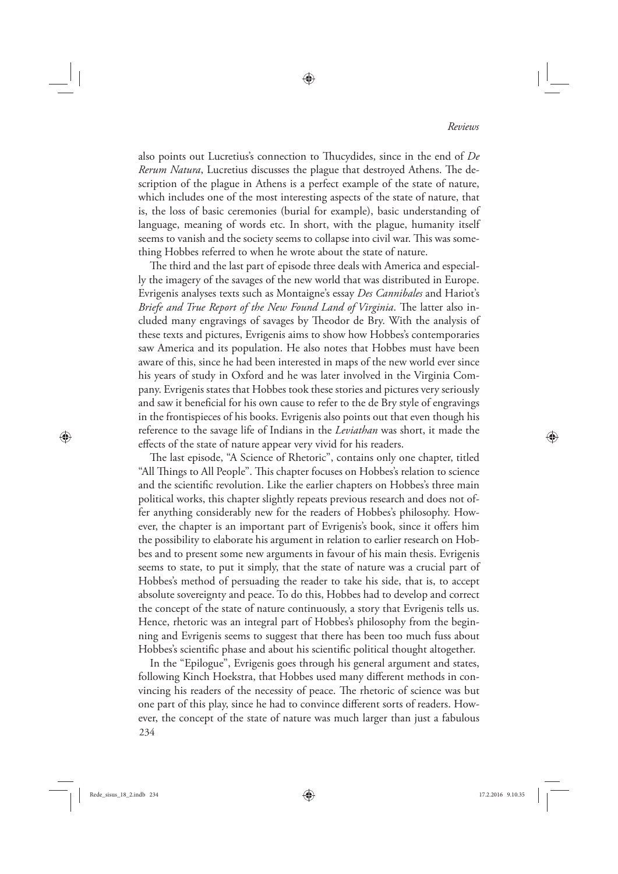also points out Lucretius's connection to Thucydides, since in the end of *De Rerum Natura*, Lucretius discusses the plague that destroyed Athens. The description of the plague in Athens is a perfect example of the state of nature, which includes one of the most interesting aspects of the state of nature, that is, the loss of basic ceremonies (burial for example), basic understanding of language, meaning of words etc. In short, with the plague, humanity itself seems to vanish and the society seems to collapse into civil war. This was something Hobbes referred to when he wrote about the state of nature.

♠

The third and the last part of episode three deals with America and especially the imagery of the savages of the new world that was distributed in Europe. Evrigenis analyses texts such as Montaigne's essay *Des Cannibales* and Hariot's *Briefe and True Report of the New Found Land of Virginia*. The latter also included many engravings of savages by Theodor de Bry. With the analysis of these texts and pictures, Evrigenis aims to show how Hobbes's contemporaries saw America and its population. He also notes that Hobbes must have been aware of this, since he had been interested in maps of the new world ever since his years of study in Oxford and he was later involved in the Virginia Company. Evrigenis states that Hobbes took these stories and pictures very seriously and saw it beneficial for his own cause to refer to the de Bry style of engravings in the frontispieces of his books. Evrigenis also points out that even though his reference to the savage life of Indians in the *Leviathan* was short, it made the effects of the state of nature appear very vivid for his readers.

The last episode, "A Science of Rhetoric", contains only one chapter, titled "All Things to All People". This chapter focuses on Hobbes's relation to science and the scientific revolution. Like the earlier chapters on Hobbes's three main political works, this chapter slightly repeats previous research and does not offer anything considerably new for the readers of Hobbes's philosophy. However, the chapter is an important part of Evrigenis's book, since it offers him the possibility to elaborate his argument in relation to earlier research on Hobbes and to present some new arguments in favour of his main thesis. Evrigenis seems to state, to put it simply, that the state of nature was a crucial part of Hobbes's method of persuading the reader to take his side, that is, to accept absolute sovereignty and peace. To do this, Hobbes had to develop and correct the concept of the state of nature continuously, a story that Evrigenis tells us. Hence, rhetoric was an integral part of Hobbes's philosophy from the beginning and Evrigenis seems to suggest that there has been too much fuss about Hobbes's scientific phase and about his scientific political thought altogether.

234 In the "Epilogue", Evrigenis goes through his general argument and states, following Kinch Hoekstra, that Hobbes used many different methods in convincing his readers of the necessity of peace. The rhetoric of science was but one part of this play, since he had to convince different sorts of readers. However, the concept of the state of nature was much larger than just a fabulous

Rede\_sisus\_18\_2.indb 234 **a**  $17.2.2016$  9.10.35

⊕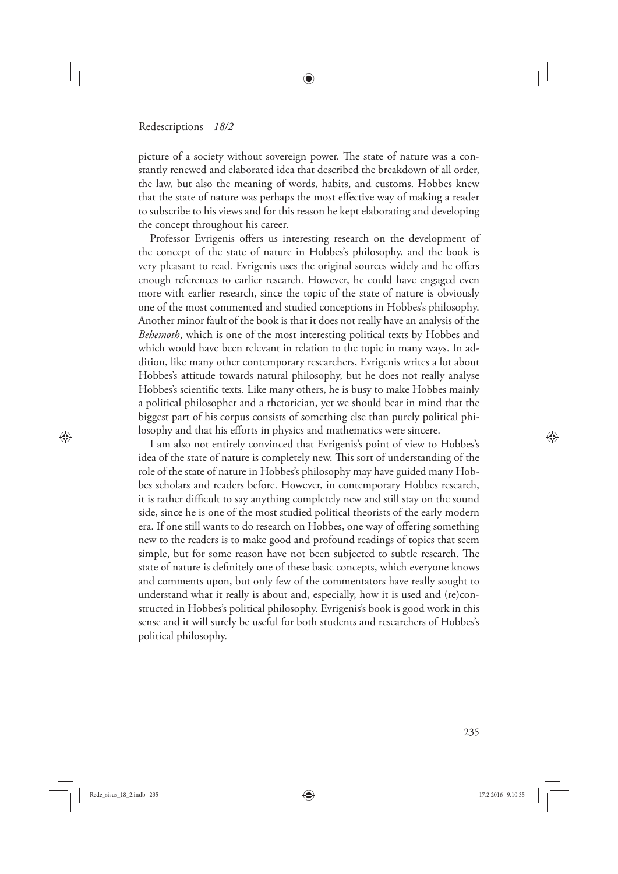picture of a society without sovereign power. The state of nature was a constantly renewed and elaborated idea that described the breakdown of all order, the law, but also the meaning of words, habits, and customs. Hobbes knew that the state of nature was perhaps the most effective way of making a reader to subscribe to his views and for this reason he kept elaborating and developing the concept throughout his career.

◈

Professor Evrigenis offers us interesting research on the development of the concept of the state of nature in Hobbes's philosophy, and the book is very pleasant to read. Evrigenis uses the original sources widely and he offers enough references to earlier research. However, he could have engaged even more with earlier research, since the topic of the state of nature is obviously one of the most commented and studied conceptions in Hobbes's philosophy. Another minor fault of the book is that it does not really have an analysis of the *Behemoth*, which is one of the most interesting political texts by Hobbes and which would have been relevant in relation to the topic in many ways. In addition, like many other contemporary researchers, Evrigenis writes a lot about Hobbes's attitude towards natural philosophy, but he does not really analyse Hobbes's scientific texts. Like many others, he is busy to make Hobbes mainly a political philosopher and a rhetorician, yet we should bear in mind that the biggest part of his corpus consists of something else than purely political philosophy and that his efforts in physics and mathematics were sincere.

I am also not entirely convinced that Evrigenis's point of view to Hobbes's idea of the state of nature is completely new. This sort of understanding of the role of the state of nature in Hobbes's philosophy may have guided many Hobbes scholars and readers before. However, in contemporary Hobbes research, it is rather difficult to say anything completely new and still stay on the sound side, since he is one of the most studied political theorists of the early modern era. If one still wants to do research on Hobbes, one way of offering something new to the readers is to make good and profound readings of topics that seem simple, but for some reason have not been subjected to subtle research. The state of nature is definitely one of these basic concepts, which everyone knows and comments upon, but only few of the commentators have really sought to understand what it really is about and, especially, how it is used and (re)constructed in Hobbes's political philosophy. Evrigenis's book is good work in this sense and it will surely be useful for both students and researchers of Hobbes's political philosophy.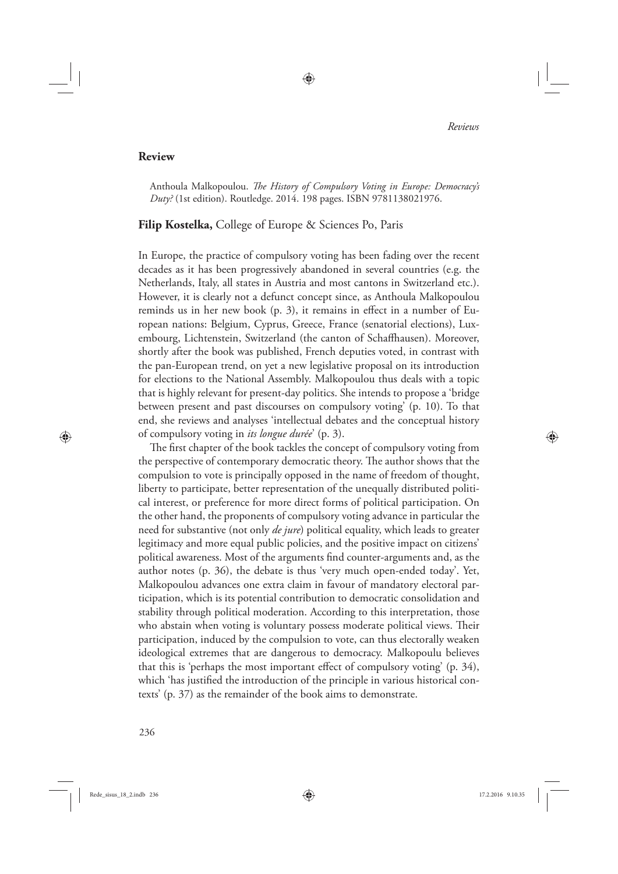## **Review**

Anthoula Malkopoulou. *The History of Compulsory Voting in Europe: Democracy's Duty?* (1st edition). Routledge. 2014. 198 pages. ISBN 9781138021976.

♠

**Filip Kostelka,** College of Europe & Sciences Po, Paris

In Europe, the practice of compulsory voting has been fading over the recent decades as it has been progressively abandoned in several countries (e.g. the Netherlands, Italy, all states in Austria and most cantons in Switzerland etc.). However, it is clearly not a defunct concept since, as Anthoula Malkopoulou reminds us in her new book (p. 3), it remains in effect in a number of European nations: Belgium, Cyprus, Greece, France (senatorial elections), Luxembourg, Lichtenstein, Switzerland (the canton of Schaffhausen). Moreover, shortly after the book was published, French deputies voted, in contrast with the pan-European trend, on yet a new legislative proposal on its introduction for elections to the National Assembly. Malkopoulou thus deals with a topic that is highly relevant for present-day politics. She intends to propose a 'bridge between present and past discourses on compulsory voting' (p. 10). To that end, she reviews and analyses 'intellectual debates and the conceptual history of compulsory voting in *its longue durée*' (p. 3).

The first chapter of the book tackles the concept of compulsory voting from the perspective of contemporary democratic theory. The author shows that the compulsion to vote is principally opposed in the name of freedom of thought, liberty to participate, better representation of the unequally distributed political interest, or preference for more direct forms of political participation. On the other hand, the proponents of compulsory voting advance in particular the need for substantive (not only *de jure*) political equality, which leads to greater legitimacy and more equal public policies, and the positive impact on citizens' political awareness. Most of the arguments find counter-arguments and, as the author notes (p. 36), the debate is thus 'very much open-ended today'. Yet, Malkopoulou advances one extra claim in favour of mandatory electoral participation, which is its potential contribution to democratic consolidation and stability through political moderation. According to this interpretation, those who abstain when voting is voluntary possess moderate political views. Their participation, induced by the compulsion to vote, can thus electorally weaken ideological extremes that are dangerous to democracy. Malkopoulu believes that this is 'perhaps the most important effect of compulsory voting'  $(p. 34)$ , which 'has justified the introduction of the principle in various historical contexts' (p. 37) as the remainder of the book aims to demonstrate.

Rede\_sisus\_18\_2.indb 236  $\bigoplus$  17.2.2016 9.10.35

⊕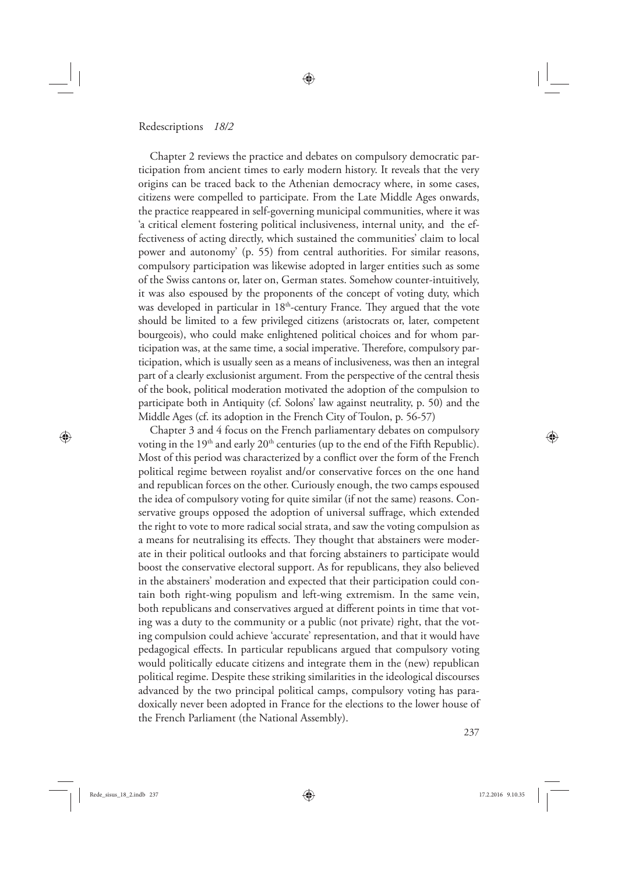Chapter 2 reviews the practice and debates on compulsory democratic participation from ancient times to early modern history. It reveals that the very origins can be traced back to the Athenian democracy where, in some cases, citizens were compelled to participate. From the Late Middle Ages onwards, the practice reappeared in self-governing municipal communities, where it was 'a critical element fostering political inclusiveness, internal unity, and the effectiveness of acting directly, which sustained the communities' claim to local power and autonomy' (p. 55) from central authorities. For similar reasons, compulsory participation was likewise adopted in larger entities such as some of the Swiss cantons or, later on, German states. Somehow counter-intuitively, it was also espoused by the proponents of the concept of voting duty, which was developed in particular in 18<sup>th</sup>-century France. They argued that the vote should be limited to a few privileged citizens (aristocrats or, later, competent bourgeois), who could make enlightened political choices and for whom participation was, at the same time, a social imperative. Therefore, compulsory participation, which is usually seen as a means of inclusiveness, was then an integral part of a clearly exclusionist argument. From the perspective of the central thesis of the book, political moderation motivated the adoption of the compulsion to participate both in Antiquity (cf. Solons' law against neutrality, p. 50) and the Middle Ages (cf. its adoption in the French City of Toulon, p. 56-57)

◈

Chapter 3 and 4 focus on the French parliamentary debates on compulsory voting in the 19<sup>th</sup> and early 20<sup>th</sup> centuries (up to the end of the Fifth Republic). Most of this period was characterized by a conflict over the form of the French political regime between royalist and/or conservative forces on the one hand and republican forces on the other. Curiously enough, the two camps espoused the idea of compulsory voting for quite similar (if not the same) reasons. Conservative groups opposed the adoption of universal suffrage, which extended the right to vote to more radical social strata, and saw the voting compulsion as a means for neutralising its effects. They thought that abstainers were moderate in their political outlooks and that forcing abstainers to participate would boost the conservative electoral support. As for republicans, they also believed in the abstainers' moderation and expected that their participation could contain both right-wing populism and left-wing extremism. In the same vein, both republicans and conservatives argued at different points in time that voting was a duty to the community or a public (not private) right, that the voting compulsion could achieve 'accurate' representation, and that it would have pedagogical effects. In particular republicans argued that compulsory voting would politically educate citizens and integrate them in the (new) republican political regime. Despite these striking similarities in the ideological discourses advanced by the two principal political camps, compulsory voting has paradoxically never been adopted in France for the elections to the lower house of the French Parliament (the National Assembly).

⊕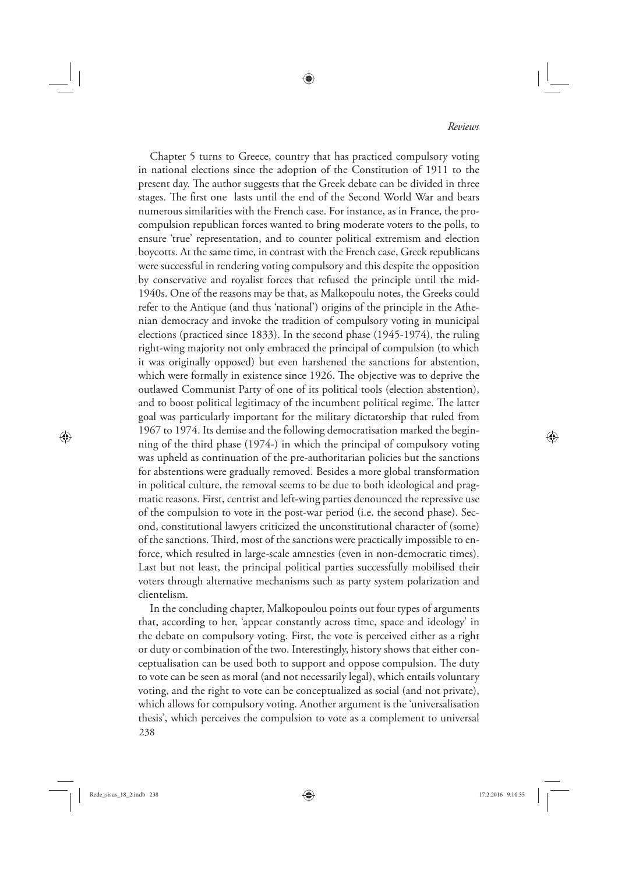Chapter 5 turns to Greece, country that has practiced compulsory voting in national elections since the adoption of the Constitution of 1911 to the present day. The author suggests that the Greek debate can be divided in three stages. The first one lasts until the end of the Second World War and bears numerous similarities with the French case. For instance, as in France, the procompulsion republican forces wanted to bring moderate voters to the polls, to ensure 'true' representation, and to counter political extremism and election boycotts. At the same time, in contrast with the French case, Greek republicans were successful in rendering voting compulsory and this despite the opposition by conservative and royalist forces that refused the principle until the mid-1940s. One of the reasons may be that, as Malkopoulu notes, the Greeks could refer to the Antique (and thus 'national') origins of the principle in the Athenian democracy and invoke the tradition of compulsory voting in municipal elections (practiced since 1833). In the second phase (1945-1974), the ruling right-wing majority not only embraced the principal of compulsion (to which it was originally opposed) but even harshened the sanctions for abstention, which were formally in existence since 1926. The objective was to deprive the outlawed Communist Party of one of its political tools (election abstention), and to boost political legitimacy of the incumbent political regime. The latter goal was particularly important for the military dictatorship that ruled from 1967 to 1974. Its demise and the following democratisation marked the beginning of the third phase (1974-) in which the principal of compulsory voting was upheld as continuation of the pre-authoritarian policies but the sanctions for abstentions were gradually removed. Besides a more global transformation in political culture, the removal seems to be due to both ideological and pragmatic reasons. First, centrist and left-wing parties denounced the repressive use of the compulsion to vote in the post-war period (i.e. the second phase). Second, constitutional lawyers criticized the unconstitutional character of (some) of the sanctions. Third, most of the sanctions were practically impossible to enforce, which resulted in large-scale amnesties (even in non-democratic times). Last but not least, the principal political parties successfully mobilised their voters through alternative mechanisms such as party system polarization and clientelism.

◈

238 In the concluding chapter, Malkopoulou points out four types of arguments that, according to her, 'appear constantly across time, space and ideology' in the debate on compulsory voting. First, the vote is perceived either as a right or duty or combination of the two. Interestingly, history shows that either conceptualisation can be used both to support and oppose compulsion. The duty to vote can be seen as moral (and not necessarily legal), which entails voluntary voting, and the right to vote can be conceptualized as social (and not private), which allows for compulsory voting. Another argument is the 'universalisation thesis', which perceives the compulsion to vote as a complement to universal

Rede\_sisus\_18\_2.indb 238 17.2.2016 9.10.35

⊕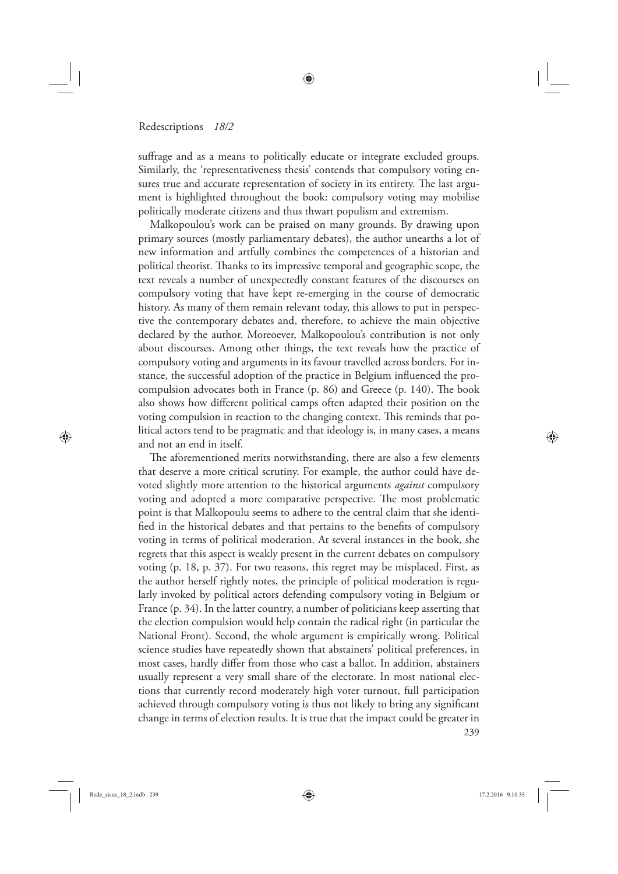suffrage and as a means to politically educate or integrate excluded groups. Similarly, the 'representativeness thesis' contends that compulsory voting ensures true and accurate representation of society in its entirety. The last argument is highlighted throughout the book: compulsory voting may mobilise politically moderate citizens and thus thwart populism and extremism.

◈

Malkopoulou's work can be praised on many grounds. By drawing upon primary sources (mostly parliamentary debates), the author unearths a lot of new information and artfully combines the competences of a historian and political theorist. Thanks to its impressive temporal and geographic scope, the text reveals a number of unexpectedly constant features of the discourses on compulsory voting that have kept re-emerging in the course of democratic history. As many of them remain relevant today, this allows to put in perspective the contemporary debates and, therefore, to achieve the main objective declared by the author. Moreoever, Malkopoulou's contribution is not only about discourses. Among other things, the text reveals how the practice of compulsory voting and arguments in its favour travelled across borders. For instance, the successful adoption of the practice in Belgium influenced the procompulsion advocates both in France (p. 86) and Greece (p. 140). The book also shows how different political camps often adapted their position on the voting compulsion in reaction to the changing context. This reminds that political actors tend to be pragmatic and that ideology is, in many cases, a means and not an end in itself.

239 The aforementioned merits notwithstanding, there are also a few elements that deserve a more critical scrutiny. For example, the author could have devoted slightly more attention to the historical arguments *against* compulsory voting and adopted a more comparative perspective. The most problematic point is that Malkopoulu seems to adhere to the central claim that she identified in the historical debates and that pertains to the benefits of compulsory voting in terms of political moderation. At several instances in the book, she regrets that this aspect is weakly present in the current debates on compulsory voting (p. 18, p. 37). For two reasons, this regret may be misplaced. First, as the author herself rightly notes, the principle of political moderation is regularly invoked by political actors defending compulsory voting in Belgium or France (p. 34). In the latter country, a number of politicians keep asserting that the election compulsion would help contain the radical right (in particular the National Front). Second, the whole argument is empirically wrong. Political science studies have repeatedly shown that abstainers' political preferences, in most cases, hardly differ from those who cast a ballot. In addition, abstainers usually represent a very small share of the electorate. In most national elections that currently record moderately high voter turnout, full participation achieved through compulsory voting is thus not likely to bring any significant change in terms of election results. It is true that the impact could be greater in

Rede\_sisus\_18\_2.indb 239 **a**  $17.2.2016$  9.10.35

⊕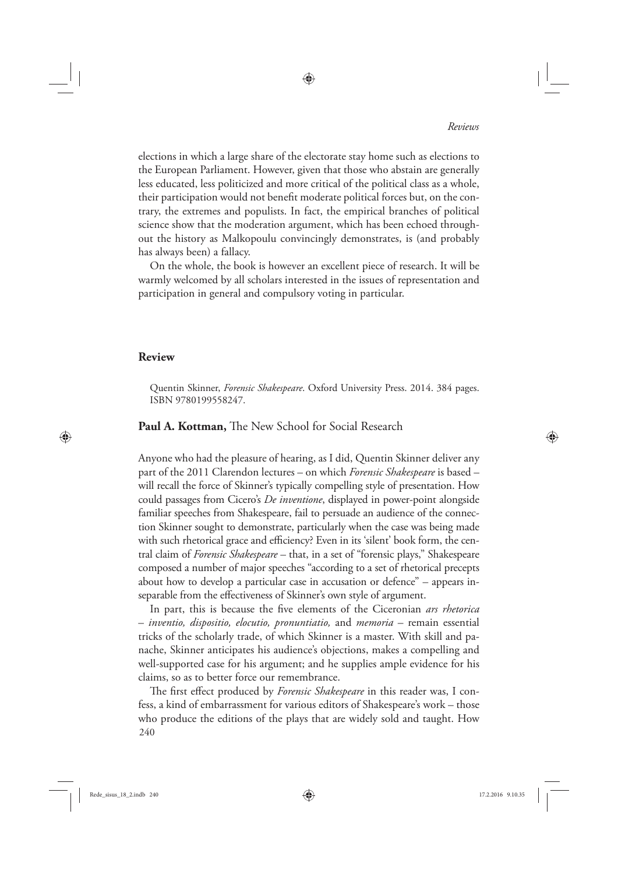elections in which a large share of the electorate stay home such as elections to the European Parliament. However, given that those who abstain are generally less educated, less politicized and more critical of the political class as a whole, their participation would not benefit moderate political forces but, on the contrary, the extremes and populists. In fact, the empirical branches of political science show that the moderation argument, which has been echoed throughout the history as Malkopoulu convincingly demonstrates, is (and probably has always been) a fallacy.

♠

On the whole, the book is however an excellent piece of research. It will be warmly welcomed by all scholars interested in the issues of representation and participation in general and compulsory voting in particular.

## **Review**

⊕

Quentin Skinner, *Forensic Shakespeare*. Oxford University Press. 2014. 384 pages. ISBN 9780199558247.

Paul A. Kottman, The New School for Social Research

Anyone who had the pleasure of hearing, as I did, Quentin Skinner deliver any part of the 2011 Clarendon lectures – on which *Forensic Shakespeare* is based – will recall the force of Skinner's typically compelling style of presentation. How could passages from Cicero's *De inventione*, displayed in power-point alongside familiar speeches from Shakespeare, fail to persuade an audience of the connection Skinner sought to demonstrate, particularly when the case was being made with such rhetorical grace and efficiency? Even in its 'silent' book form, the central claim of *Forensic Shakespeare* – that, in a set of "forensic plays," Shakespeare composed a number of major speeches "according to a set of rhetorical precepts about how to develop a particular case in accusation or defence" – appears inseparable from the effectiveness of Skinner's own style of argument.

In part, this is because the five elements of the Ciceronian *ars rhetorica* – *inventio, dispositio, elocutio, pronuntiatio,* and *memoria* – remain essential tricks of the scholarly trade, of which Skinner is a master. With skill and panache, Skinner anticipates his audience's objections, makes a compelling and well-supported case for his argument; and he supplies ample evidence for his claims, so as to better force our remembrance.

240 The first effect produced by *Forensic Shakespeare* in this reader was, I confess, a kind of embarrassment for various editors of Shakespeare's work – those who produce the editions of the plays that are widely sold and taught. How

Rede\_sisus\_18\_2.indb 240  $\bigoplus$  17.2.2016 9.10.35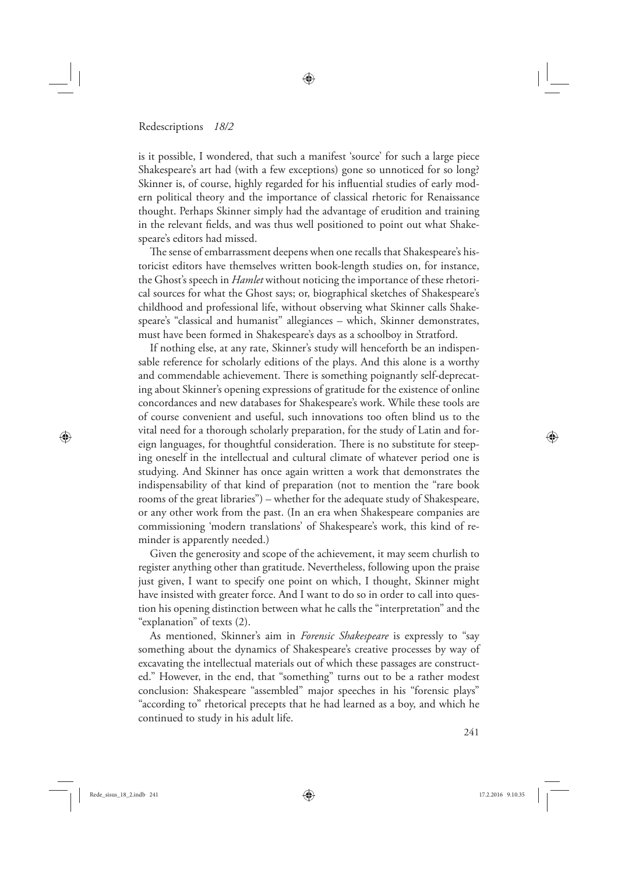is it possible, I wondered, that such a manifest 'source' for such a large piece Shakespeare's art had (with a few exceptions) gone so unnoticed for so long? Skinner is, of course, highly regarded for his influential studies of early modern political theory and the importance of classical rhetoric for Renaissance thought. Perhaps Skinner simply had the advantage of erudition and training in the relevant fields, and was thus well positioned to point out what Shakespeare's editors had missed.

◈

The sense of embarrassment deepens when one recalls that Shakespeare's historicist editors have themselves written book-length studies on, for instance, the Ghost's speech in *Hamlet* without noticing the importance of these rhetorical sources for what the Ghost says; or, biographical sketches of Shakespeare's childhood and professional life, without observing what Skinner calls Shakespeare's "classical and humanist" allegiances – which, Skinner demonstrates, must have been formed in Shakespeare's days as a schoolboy in Stratford.

If nothing else, at any rate, Skinner's study will henceforth be an indispensable reference for scholarly editions of the plays. And this alone is a worthy and commendable achievement. There is something poignantly self-deprecating about Skinner's opening expressions of gratitude for the existence of online concordances and new databases for Shakespeare's work. While these tools are of course convenient and useful, such innovations too often blind us to the vital need for a thorough scholarly preparation, for the study of Latin and foreign languages, for thoughtful consideration. There is no substitute for steeping oneself in the intellectual and cultural climate of whatever period one is studying. And Skinner has once again written a work that demonstrates the indispensability of that kind of preparation (not to mention the "rare book rooms of the great libraries") – whether for the adequate study of Shakespeare, or any other work from the past. (In an era when Shakespeare companies are commissioning 'modern translations' of Shakespeare's work, this kind of reminder is apparently needed.)

Given the generosity and scope of the achievement, it may seem churlish to register anything other than gratitude. Nevertheless, following upon the praise just given, I want to specify one point on which, I thought, Skinner might have insisted with greater force. And I want to do so in order to call into question his opening distinction between what he calls the "interpretation" and the "explanation" of texts (2).

As mentioned, Skinner's aim in *Forensic Shakespeare* is expressly to "say something about the dynamics of Shakespeare's creative processes by way of excavating the intellectual materials out of which these passages are constructed." However, in the end, that "something" turns out to be a rather modest conclusion: Shakespeare "assembled" major speeches in his "forensic plays" "according to" rhetorical precepts that he had learned as a boy, and which he continued to study in his adult life.

⊕